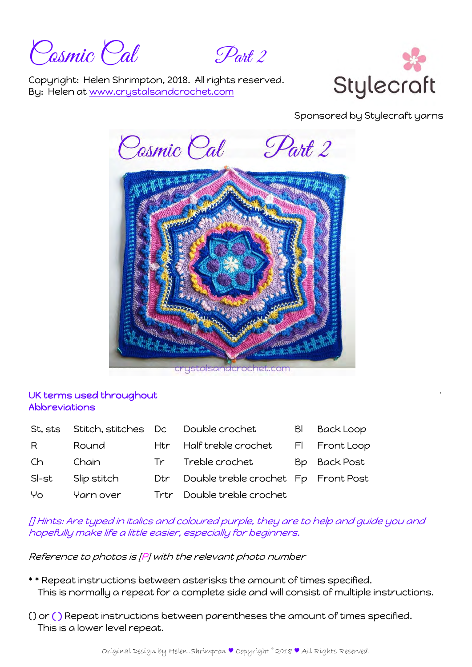Cosmic Cal Part 2

Copyright: Helen Shrimpton, 2018. All rights reserved. By: Helen at www.crystalsandcrochet.com



Sponsored by Stylecraft yarns



# UK terms used throughout Abbreviations

| St, sts | Stitch, stitches Dc |      | Double crochet                      | BI | <b>Back Loop</b> |
|---------|---------------------|------|-------------------------------------|----|------------------|
| R       | Round               | Htr  | Half treble crochet                 |    | FI Front Loop    |
| Ch.     | Chain               |      | Tr Treble crochet                   |    | Bp Back Post     |
| SI-st   | Slip stitch         | Dtr  | Double treble crochet Fp Front Post |    |                  |
| Yo      | Yarn over           | Trtr | Double treble crochet               |    |                  |

[] Hints: Are typed in italics and coloured purple, they are to help and guide you and hopefully make life a little easier, especially for beginners.

Reference to photos is [P] with the relevant photo number

- \* \* Repeat instructions between asterisks the amount of times specified. This is normally a repeat for a complete side and will consist of multiple instructions.
- () or ( ) Repeat instructions between parentheses the amount of times specified. This is a lower level repeat.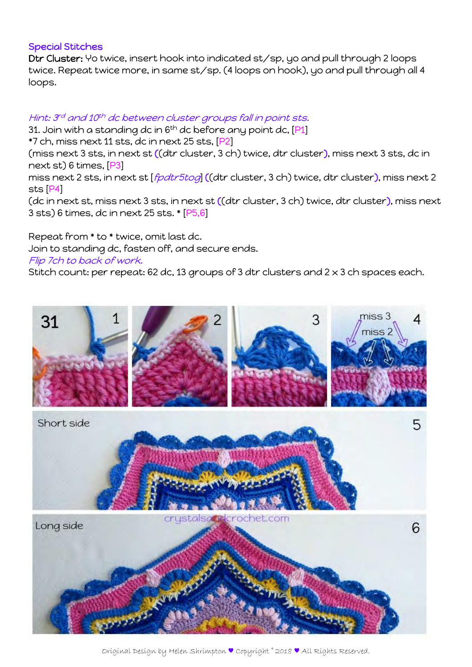## Special Stitches

Dtr Cluster: Yo twice, insert hook into indicated st/sp, yo and pull through 2 loops twice. Repeat twice more, in same st/sp. (4 loops on hook), yo and pull through all 4 loops.

# Hint: 3rd and 10th dc between cluster groups fall in point sts.

31. Join with a standing dc in  $6<sup>th</sup>$  dc before any point dc,  $[P1]$ \*7 ch, miss next 11 sts, dc in next 25 sts, [P2]

(miss next 3 sts, in next st ((dtr cluster, 3 ch) twice, dtr cluster), miss next 3 sts, dc in next st) 6 times, [P3]

miss next 2 sts, in next st [*fpdtr5tog*] ((dtr cluster, 3 ch) twice, dtr cluster), miss next 2 sts [P4]

(dc in next st, miss next 3 sts, in next st ((dtr cluster, 3 ch) twice, dtr cluster), miss next 3 sts) 6 times, dc in next 25 sts. \* [P5,6]

Repeat from \* to \* twice, omit last dc.

Join to standing dc, fasten off, and secure ends.

#### Flip 7ch to back of work.

Stitch count: per repeat: 62 dc, 13 groups of 3 dtr clusters and  $2 \times 3$  ch spaces each.



Original Design by Helen Shrimpton ♥ Copyright © 2018 ♥ All Rights Reserved.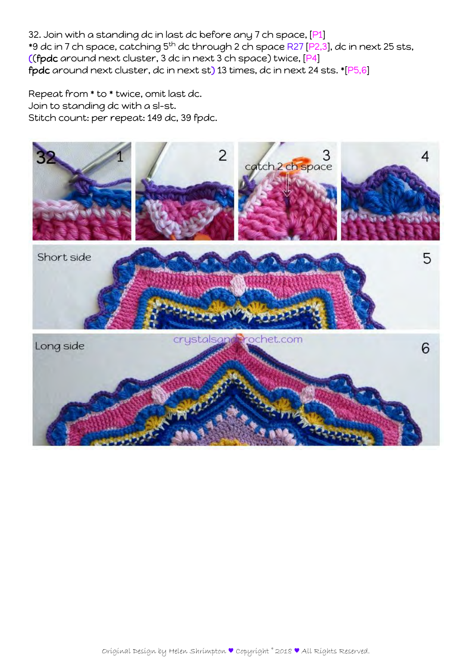32. Join with a standing dc in last dc before any 7 ch space, [P1] \*9 dc in 7 ch space, catching 5<sup>th</sup> dc through 2 ch space R27 [P2,3], dc in next 25 sts, ((fpdc around next cluster, 3 dc in next 3 ch space) twice, [P4] fpdc around next cluster, dc in next st) 13 times, dc in next 24 sts. \*[P5,6]

Repeat from \* to \* twice, omit last dc. Join to standing dc with a sl-st. Stitch count: per repeat: 149 dc, 39 fpdc.

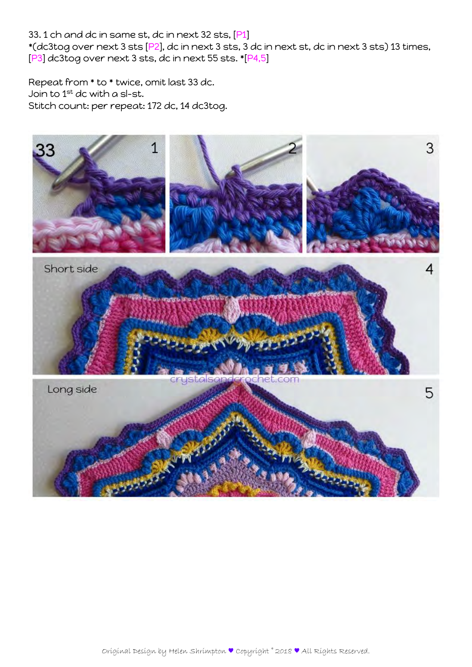33. 1 ch and dc in same st, dc in next 32 sts, [P1]

\*(dc3tog over next 3 sts [P2], dc in next 3 sts, 3 dc in next st, dc in next 3 sts) 13 times, [P3] dc3tog over next 3 sts, dc in next 55 sts. \*[P4,5]

Repeat from \* to \* twice, omit last 33 dc. Join to 1st dc with a sl-st. Stitch count: per repeat: 172 dc, 14 dc3tog.

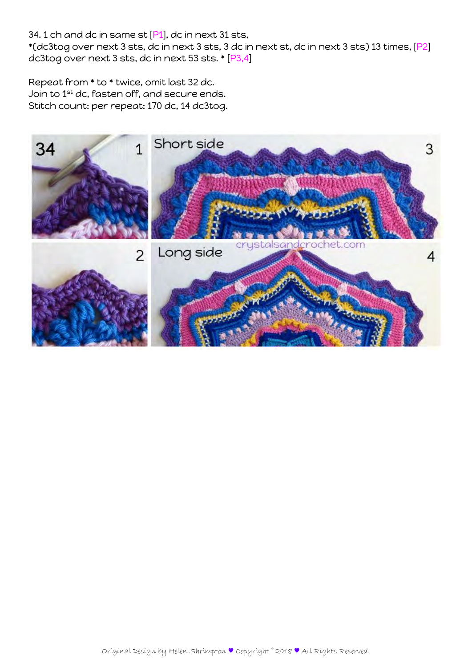# 34. 1 ch and dc in same st [P1], dc in next 31 sts,

\*(dc3tog over next 3 sts, dc in next 3 sts, 3 dc in next st, dc in next 3 sts) 13 times, [P2] dc3tog over next 3 sts, dc in next 53 sts. \* [P3,4]

Repeat from \* to \* twice, omit last 32 dc. Join to 1st dc, fasten off, and secure ends. Stitch count: per repeat: 170 dc, 14 dc3tog.

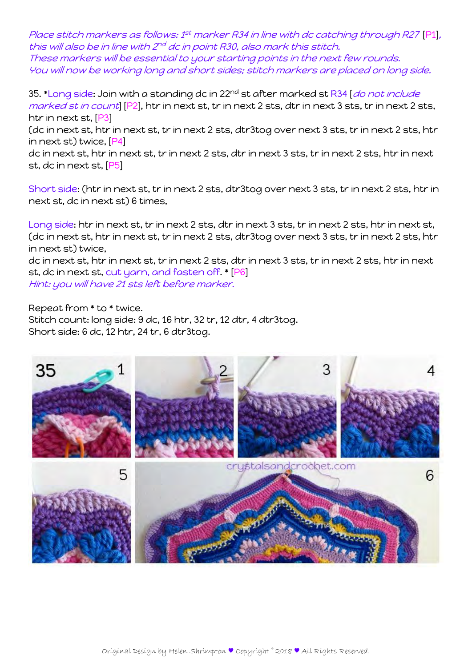Place stitch markers as follows: 1<sup>st</sup> marker R34 in line with dc catching through R27 [P1], this will also be in line with 2<sup>nd</sup> dc in point R30, also mark this stitch. These markers will be essential to your starting points in the next few rounds. You will now be working long and short sides; stitch markers are placed on long side.

35. \*Long side: Join with a standing dc in 22<sup>nd</sup> st after marked st R34 [*do not include* marked st in count [P2], htr in next st, tr in next 2 sts, dtr in next 3 sts, tr in next 2 sts, htr in next st, [P3]

(dc in next st, htr in next st, tr in next 2 sts, dtr3tog over next 3 sts, tr in next 2 sts, htr in next st) twice, [P4]

dc in next st, htr in next st, tr in next 2 sts, dtr in next 3 sts, tr in next 2 sts, htr in next st, dc in next st, [P5]

Short side: (htr in next st, tr in next 2 sts, dtr3tog over next 3 sts, tr in next 2 sts, htr in next st, dc in next st) 6 times,

Long side: htr in next st, tr in next 2 sts, dtr in next 3 sts, tr in next 2 sts, htr in next st, (dc in next st, htr in next st, tr in next 2 sts, dtr3tog over next 3 sts, tr in next 2 sts, htr in next st) twice,

dc in next st, htr in next st, tr in next 2 sts, dtr in next 3 sts, tr in next 2 sts, htr in next st, dc in next st, cut yarn, and fasten off. \* [P6] Hint: you will have 21 sts left before marker.

Repeat from \* to \* twice. Stitch count: long side: 9 dc, 16 htr, 32 tr, 12 dtr, 4 dtr3tog. Short side: 6 dc, 12 htr, 24 tr, 6 dtr3tog.

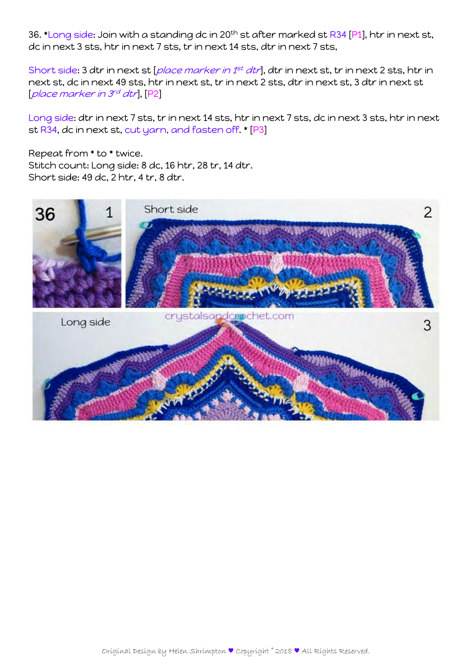36. \*Long side: Join with a standing dc in 20<sup>th</sup> st after marked st R34 [P1], htr in next st, dc in next 3 sts, htr in next 7 sts, tr in next 14 sts, dtr in next 7 sts,

Short side: 3 dtr in next st [place marker in 1<sup>st</sup> dtr], dtr in next st, tr in next 2 sts, htr in next st, dc in next 49 sts, htr in next st, tr in next 2 sts, dtr in next st, 3 dtr in next st [place marker in 3rd dtr], [P2]

Long side: dtr in next 7 sts, tr in next 14 sts, htr in next 7 sts, dc in next 3 sts, htr in next st R34, dc in next st, cut yarn, and fasten off. \* [P3]

Repeat from \* to \* twice. Stitch count: Long side: 8 dc, 16 htr, 28 tr, 14 dtr. Short side: 49 dc, 2 htr, 4 tr, 8 dtr.

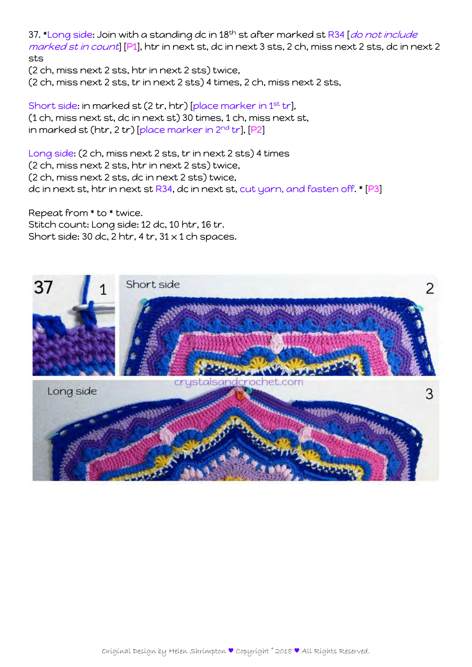37. \*Long side: Join with a standing dc in 18<sup>th</sup> st after marked st R34 [*do not include* marked st in count] [P1], htr in next st, dc in next 3 sts, 2 ch, miss next 2 sts, dc in next 2 sts

(2 ch, miss next 2 sts, htr in next 2 sts) twice,

(2 ch, miss next 2 sts, tr in next 2 sts) 4 times, 2 ch, miss next 2 sts,

Short side: in marked st (2 tr, htr) [place marker in 1<sup>st</sup> tr], (1 ch, miss next st, dc in next st) 30 times, 1 ch, miss next st, in marked st (htr, 2 tr) [place marker in  $2^{nd}$  tr], [P2]

Long side: (2 ch, miss next 2 sts, tr in next 2 sts) 4 times (2 ch, miss next 2 sts, htr in next 2 sts) twice, (2 ch, miss next 2 sts, dc in next 2 sts) twice, dc in next st, htr in next st R34, dc in next st, cut yarn, and fasten off. \* [P3]

Repeat from \* to \* twice. Stitch count: Long side: 12 dc, 10 htr, 16 tr. Short side: 30 dc, 2 htr, 4 tr,  $31 \times 1$  ch spaces.

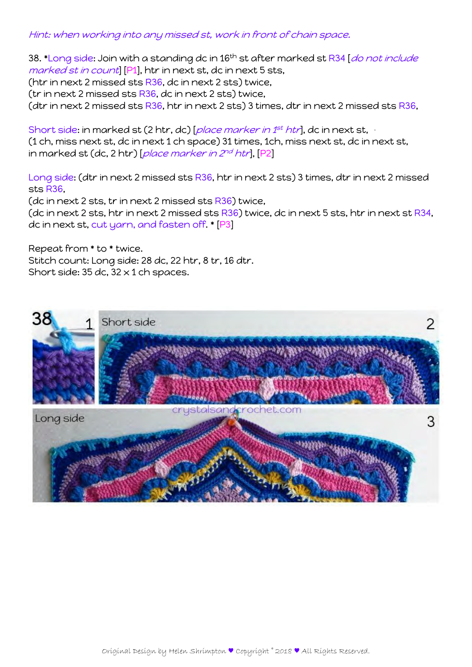## Hint: when working into any missed st, work in front of chain space.

38. \*Long side: Join with a standing dc in 16<sup>th</sup> st after marked st R34 [*do not include* marked st in count [P1], htr in next st, dc in next 5 sts, (htr in next 2 missed sts R36, dc in next 2 sts) twice, (tr in next 2 missed sts R36, dc in next 2 sts) twice, (dtr in next 2 missed sts  $R36$ , htr in next 2 sts) 3 times, dtr in next 2 missed sts  $R36$ ,

Short side: in marked st (2 htr, dc) [place marker in 1<sup>st</sup> htr], dc in next st, (1 ch, miss next st, dc in next 1 ch space) 31 times, 1ch, miss next st, dc in next st, in marked st (dc, 2 htr) [place marker in  $2^{nd}$  htr], [P2]

Long side: (dtr in next 2 missed sts R36, htr in next 2 sts) 3 times, dtr in next 2 missed sts R36,

(dc in next 2 sts, tr in next 2 missed sts R36) twice, (dc in next 2 sts, htr in next 2 missed sts  $R36$ ) twice, dc in next 5 sts, htr in next st  $R34$ , dc in next st, cut yarn, and fasten off. \* [P3]

Repeat from \* to \* twice. Stitch count: Long side: 28 dc, 22 htr, 8 tr, 16 dtr. Short side:  $35$  dc,  $32 \times 1$  ch spaces.

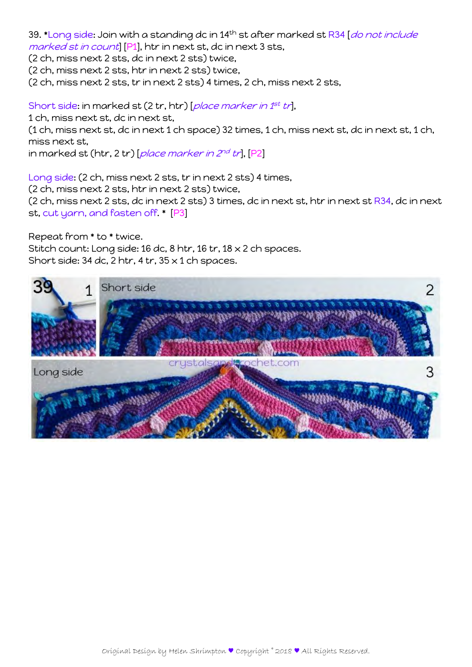39. \*Long side: Join with a standing dc in 14<sup>th</sup> st after marked st R34 [*do not include* marked st in count [P1], htr in next st, dc in next 3 sts,

(2 ch, miss next 2 sts, dc in next 2 sts) twice,

(2 ch, miss next 2 sts, htr in next 2 sts) twice,

(2 ch, miss next 2 sts, tr in next 2 sts) 4 times, 2 ch, miss next 2 sts,

Short side: in marked st (2 tr, htr) [place marker in 1st tr],

1 ch, miss next st, dc in next st,

(1 ch, miss next st, dc in next 1 ch space) 32 times, 1 ch, miss next st, dc in next st, 1 ch, miss next st,

in marked st (htr, 2 tr) [place marker in  $2^{nd}$  tr], [P2]

Long side: (2 ch, miss next 2 sts, tr in next 2 sts) 4 times, (2 ch, miss next 2 sts, htr in next 2 sts) twice,

(2 ch, miss next 2 sts, dc in next 2 sts) 3 times, dc in next st, htr in next st  $R34$ , dc in next st, cut yarn, and fasten off. \* [P3]

Repeat from \* to \* twice.

Stitch count: Long side: 16 dc, 8 htr, 16 tr, 18 x 2 ch spaces. Short side: 34 dc, 2 htr, 4 tr,  $35 \times 1$  ch spaces.

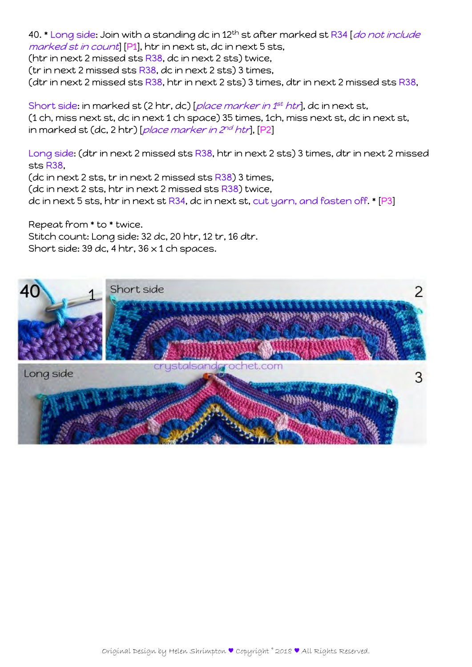40. \* Long side: Join with a standing dc in 12<sup>th</sup> st after marked st R34 [*do not include* marked st in count [P1], htr in next st, dc in next 5 sts, (htr in next 2 missed sts R38, dc in next 2 sts) twice, (tr in next 2 missed sts  $R38$ , dc in next 2 sts) 3 times, (dtr in next 2 missed sts R38, htr in next 2 sts) 3 times, dtr in next 2 missed sts R38,

Short side: in marked st (2 htr, dc) [place marker in 1<sup>st</sup> htr], dc in next st, (1 ch, miss next st, dc in next 1 ch space) 35 times, 1ch, miss next st, dc in next st, in marked st (dc, 2 htr) [place marker in  $2^{nd}$  htr], [P2]

Long side: (dtr in next 2 missed sts R38, htr in next 2 sts) 3 times, dtr in next 2 missed sts R38,

(dc in next 2 sts, tr in next 2 missed sts R38) 3 times, (dc in next 2 sts, htr in next 2 missed sts  $R38$ ) twice, dc in next 5 sts, htr in next st R34, dc in next st, cut yarn, and fasten off. \* [P3]

Repeat from \* to \* twice. Stitch count: Long side: 32 dc, 20 htr, 12 tr, 16 dtr. Short side: 39 dc, 4 htr,  $36 \times 1$  ch spaces.

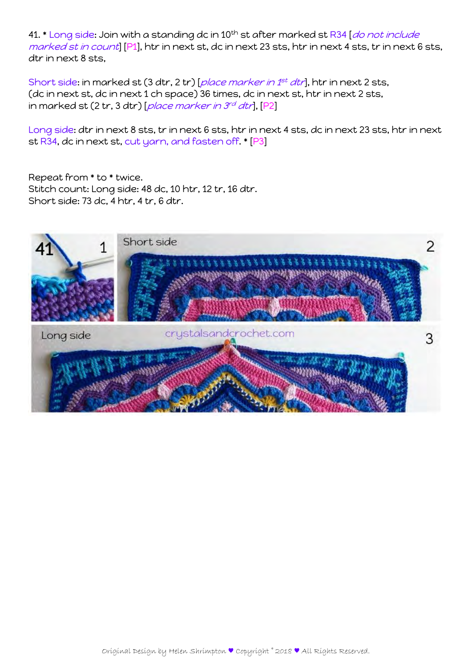41. \* Long side: Join with a standing dc in 10<sup>th</sup> st after marked st R34 [*do not include* marked st in count] [P1], htr in next st, dc in next 23 sts, htr in next 4 sts, tr in next 6 sts, dtr in next 8 sts,

Short side: in marked st (3 dtr, 2 tr) [place marker in 1<sup>st</sup> dtr], htr in next 2 sts, (dc in next st, dc in next 1 ch space) 36 times, dc in next st, htr in next 2 sts, in marked st (2 tr, 3 dtr) [place marker in  $3^{rd}$  dtr], [P2]

Long side: dtr in next 8 sts, tr in next 6 sts, htr in next 4 sts, dc in next 23 sts, htr in next st R34, dc in next st, cut yarn, and fasten off. \* [P3]

Repeat from \* to \* twice. Stitch count: Long side: 48 dc, 10 htr, 12 tr, 16 dtr. Short side: 73 dc, 4 htr, 4 tr, 6 dtr.